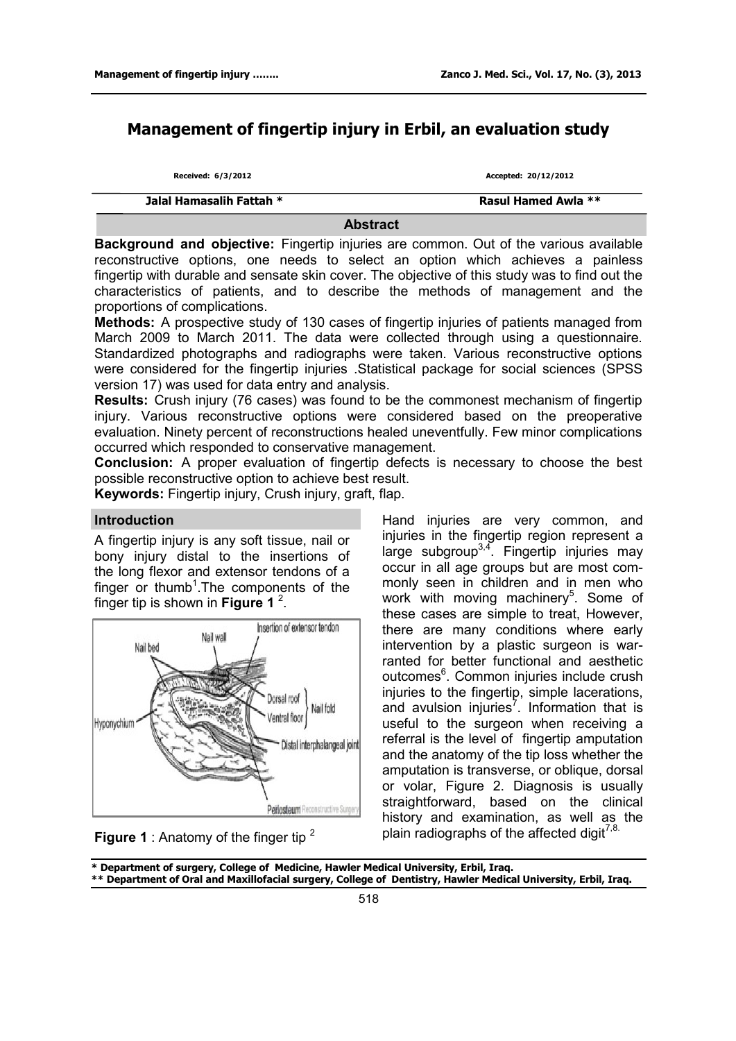# **Management of fingertip injury in Erbil, an evaluation study**

| Received: 6/3/2012       | Accepted: 20/12/2012 |
|--------------------------|----------------------|
| Jalal Hamasalih Fattah * | Rasul Hamed Awla **  |

**Abstract** 

**Background and objective:** Fingertip injuries are common. Out of the various available reconstructive options, one needs to select an option which achieves a painless fingertip with durable and sensate skin cover. The objective of this study was to find out the characteristics of patients, and to describe the methods of management and the proportions of complications.

**Methods:** A prospective study of 130 cases of fingertip injuries of patients managed from March 2009 to March 2011. The data were collected through using a questionnaire. Standardized photographs and radiographs were taken. Various reconstructive options were considered for the fingertip injuries .Statistical package for social sciences (SPSS version 17) was used for data entry and analysis.

**Results:** Crush injury (76 cases) was found to be the commonest mechanism of fingertip injury. Various reconstructive options were considered based on the preoperative evaluation. Ninety percent of reconstructions healed uneventfully. Few minor complications occurred which responded to conservative management.

**Conclusion:** A proper evaluation of fingertip defects is necessary to choose the best possible reconstructive option to achieve best result.

**Keywords:** Fingertip injury, Crush injury, graft, flap.

## **Introduction**

A fingertip injury is any soft tissue, nail or bony injury distal to the insertions of the long flexor and extensor tendons of a finger or thumb<sup>1</sup>. The components of the finger tip is shown in **Figure 1** 2 .



**Figure 1** : Anatomy of the finger tip <sup>2</sup>

Hand injuries are very common, and injuries in the fingertip region represent a large subgroup<sup>3,4</sup>. Fingertip injuries may occur in all age groups but are most commonly seen in children and in men who work with moving machinery<sup>5</sup>. Some of these cases are simple to treat, However, there are many conditions where early intervention by a plastic surgeon is warranted for better functional and aesthetic outcomes<sup>6</sup>. Common injuries include crush injuries to the fingertip, simple lacerations, and avulsion injuries<sup>7</sup>. Information that is useful to the surgeon when receiving a referral is the level of fingertip amputation and the anatomy of the tip loss whether the amputation is transverse, or oblique, dorsal or volar, Figure 2. Diagnosis is usually straightforward, based on the clinical history and examination, as well as the plain radiographs of the affected digit $7,8$ .

**\* Department of surgery, College of Medicine, Hawler Medical University, Erbil, Iraq. \*\* Department of Oral and Maxillofacial surgery, College of Dentistry, Hawler Medical University, Erbil, Iraq.**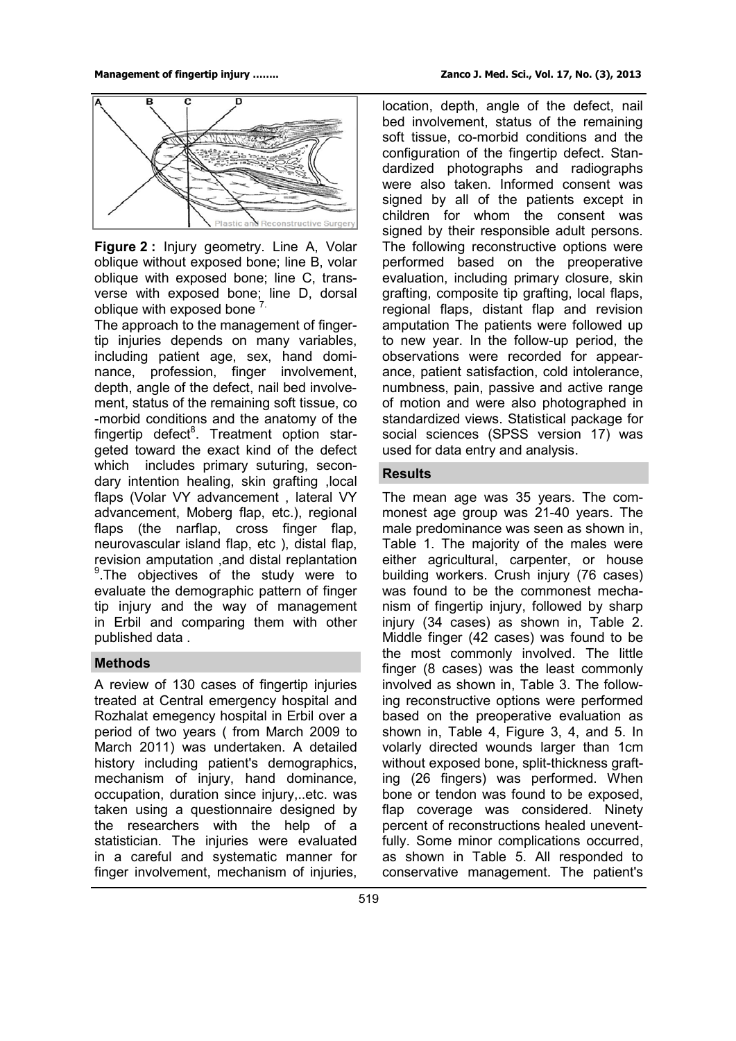

**Figure 2 :** Injury geometry. Line A, Volar oblique without exposed bone; line B, volar oblique with exposed bone; line C, transverse with exposed bone; line D, dorsal oblique with exposed bone  $7$ .

The approach to the management of fingertip injuries depends on many variables, including patient age, sex, hand dominance, profession, finger involvement, depth, angle of the defect, nail bed involvement, status of the remaining soft tissue, co -morbid conditions and the anatomy of the fingertip defect<sup>8</sup>. Treatment option stargeted toward the exact kind of the defect which includes primary suturing, secondary intention healing, skin grafting ,local flaps (Volar VY advancement , lateral VY advancement, Moberg flap, etc.), regional flaps (the narflap, cross finger flap, neurovascular island flap, etc ), distal flap, revision amputation ,and distal replantation <sup>9</sup>.The objectives of the study were to evaluate the demographic pattern of finger tip injury and the way of management in Erbil and comparing them with other published data .

#### **Methods**

A review of 130 cases of fingertip injuries treated at Central emergency hospital and Rozhalat emegency hospital in Erbil over a period of two years ( from March 2009 to March 2011) was undertaken. A detailed history including patient's demographics, mechanism of injury, hand dominance, occupation, duration since injury,..etc. was taken using a questionnaire designed by the researchers with the help of a statistician. The injuries were evaluated in a careful and systematic manner for finger involvement, mechanism of injuries,

location, depth, angle of the defect, nail bed involvement, status of the remaining soft tissue, co-morbid conditions and the configuration of the fingertip defect. Standardized photographs and radiographs were also taken. Informed consent was signed by all of the patients except in children for whom the consent was signed by their responsible adult persons. The following reconstructive options were performed based on the preoperative evaluation, including primary closure, skin grafting, composite tip grafting, local flaps, regional flaps, distant flap and revision amputation The patients were followed up to new year. In the follow-up period, the observations were recorded for appearance, patient satisfaction, cold intolerance, numbness, pain, passive and active range of motion and were also photographed in standardized views. Statistical package for social sciences (SPSS version 17) was used for data entry and analysis.

## **Results**

The mean age was 35 years. The commonest age group was 21-40 years. The male predominance was seen as shown in, Table 1. The majority of the males were either agricultural, carpenter, or house building workers. Crush injury (76 cases) was found to be the commonest mechanism of fingertip injury, followed by sharp injury (34 cases) as shown in, Table 2. Middle finger (42 cases) was found to be the most commonly involved. The little finger (8 cases) was the least commonly involved as shown in, Table 3. The following reconstructive options were performed based on the preoperative evaluation as shown in, Table 4, Figure 3, 4, and 5. In volarly directed wounds larger than 1cm without exposed bone, split-thickness grafting (26 fingers) was performed. When bone or tendon was found to be exposed, flap coverage was considered. Ninety percent of reconstructions healed uneventfully. Some minor complications occurred, as shown in Table 5. All responded to conservative management. The patient's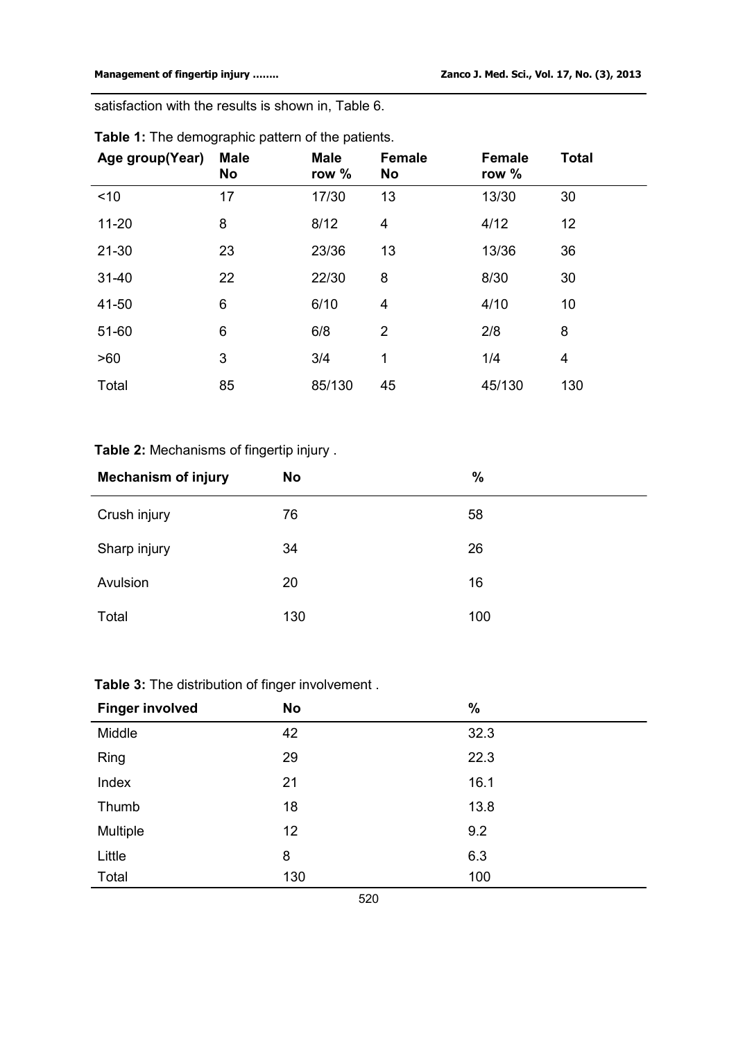satisfaction with the results is shown in, Table 6.

| Age group(Year) | <b>Male</b><br>No | <b>Male</b><br>row % | <b>Female</b><br>No | <b>Female</b><br>row % | <b>Total</b> |
|-----------------|-------------------|----------------------|---------------------|------------------------|--------------|
| < 10            | 17                | 17/30                | 13                  | 13/30                  | 30           |
| $11 - 20$       | 8                 | 8/12                 | 4                   | 4/12                   | 12           |
| $21 - 30$       | 23                | 23/36                | 13                  | 13/36                  | 36           |
| $31 - 40$       | 22                | 22/30                | 8                   | 8/30                   | 30           |
| 41-50           | 6                 | 6/10                 | 4                   | 4/10                   | 10           |
| 51-60           | $\,6$             | 6/8                  | $\overline{2}$      | 2/8                    | 8            |
| >60             | 3                 | 3/4                  | 1                   | 1/4                    | 4            |
| Total           | 85                | 85/130               | 45                  | 45/130                 | 130          |

# **Table 1:** The demographic pattern of the patients.

# **Table 2:** Mechanisms of fingertip injury .

| <b>Mechanism of injury</b> | <b>No</b> | $\frac{0}{0}$ |
|----------------------------|-----------|---------------|
| Crush injury               | 76        | 58            |
| Sharp injury               | 34        | 26            |
| Avulsion                   | 20        | 16            |
| Total                      | 130       | 100           |

# **Table 3:** The distribution of finger involvement .

| <b>Finger involved</b> | <b>No</b> | $\%$ |
|------------------------|-----------|------|
| Middle                 | 42        | 32.3 |
| Ring                   | 29        | 22.3 |
| Index                  | 21        | 16.1 |
| Thumb                  | 18        | 13.8 |
| Multiple               | 12        | 9.2  |
| Little                 | 8         | 6.3  |
| Total                  | 130       | 100  |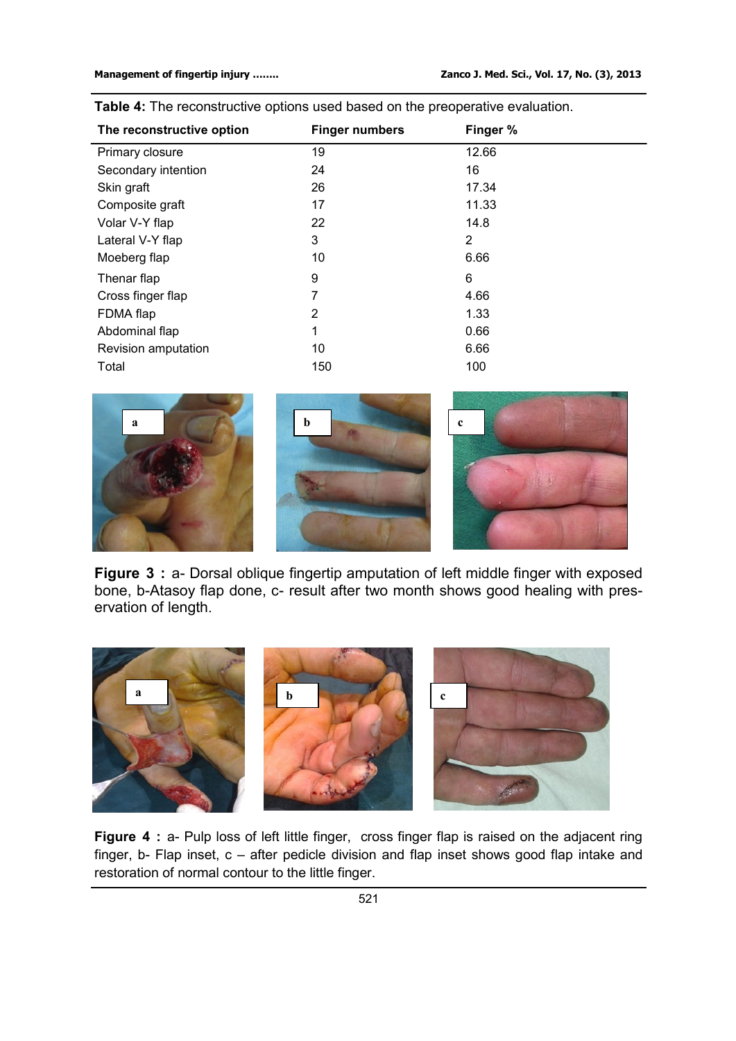| The reconstructive option | <b>Finger numbers</b> | Finger %       |
|---------------------------|-----------------------|----------------|
| Primary closure           | 19                    | 12.66          |
| Secondary intention       | 24                    | 16             |
| Skin graft                | 26                    | 17.34          |
| Composite graft           | 17                    | 11.33          |
| Volar V-Y flap            | 22                    | 14.8           |
| Lateral V-Y flap          | 3                     | $\overline{2}$ |
| Moeberg flap              | 10                    | 6.66           |
| Thenar flap               | 9                     | 6              |
| Cross finger flap         | 7                     | 4.66           |
| FDMA flap                 | 2                     | 1.33           |
| Abdominal flap            | 1                     | 0.66           |
| Revision amputation       | 10                    | 6.66           |
| Total                     | 150                   | 100            |

**Table 4:** The reconstructive options used based on the preoperative evaluation.



**Figure 3** : a- Dorsal oblique fingertip amputation of left middle finger with exposed bone, b-Atasoy flap done, c- result after two month shows good healing with preservation of length.



**Figure 4** : a- Pulp loss of left little finger, cross finger flap is raised on the adjacent ring finger, b- Flap inset, c – after pedicle division and flap inset shows good flap intake and restoration of normal contour to the little finger.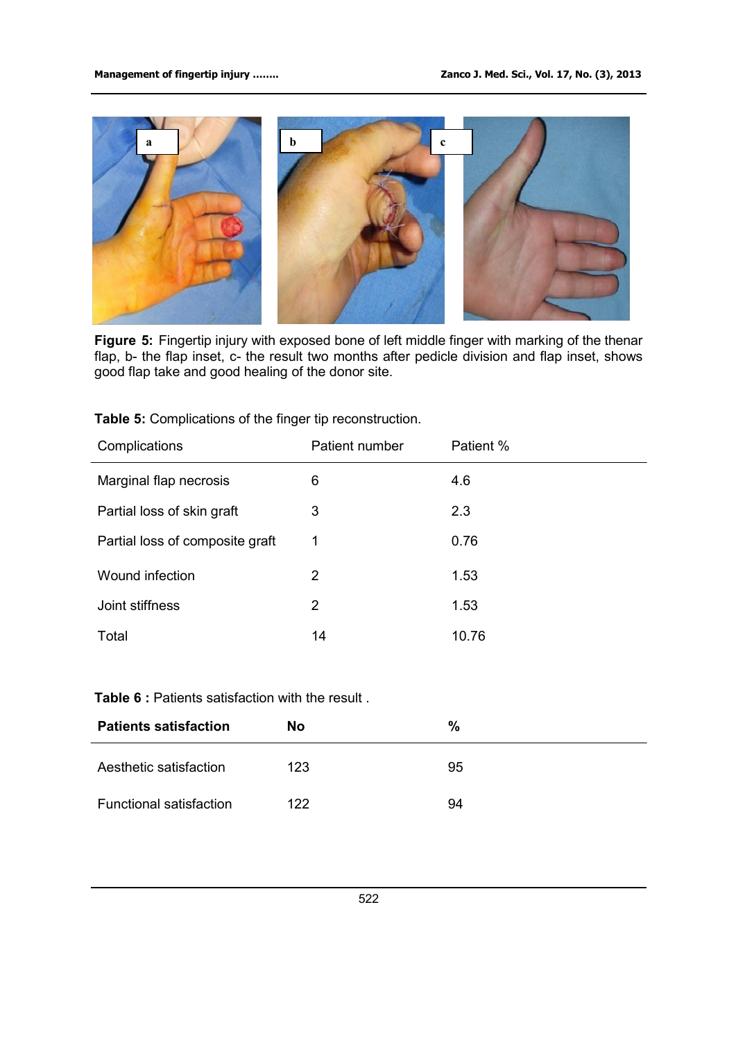

**Figure 5:** Fingertip injury with exposed bone of left middle finger with marking of the thenar flap, b- the flap inset, c- the result two months after pedicle division and flap inset, shows good flap take and good healing of the donor site.

| <b>Table 5:</b> Complications of the finger tip reconstruction. |  |
|-----------------------------------------------------------------|--|
|-----------------------------------------------------------------|--|

| Complications                   | Patient number        | Patient % |
|---------------------------------|-----------------------|-----------|
| Marginal flap necrosis          | 6                     | 4.6       |
| Partial loss of skin graft      | 3                     | 2.3       |
| Partial loss of composite graft | 1                     | 0.76      |
| Wound infection                 | $\overline{2}$        | 1.53      |
| Joint stiffness                 | $\mathbf{2}^{\prime}$ | 1.53      |
| Total                           | 14                    | 10.76     |

## **Table 6** : Patients satisfaction with the result .

| <b>Patients satisfaction</b>   | <b>No</b> | %  |
|--------------------------------|-----------|----|
| Aesthetic satisfaction         | 123       | 95 |
| <b>Functional satisfaction</b> | 122       | 94 |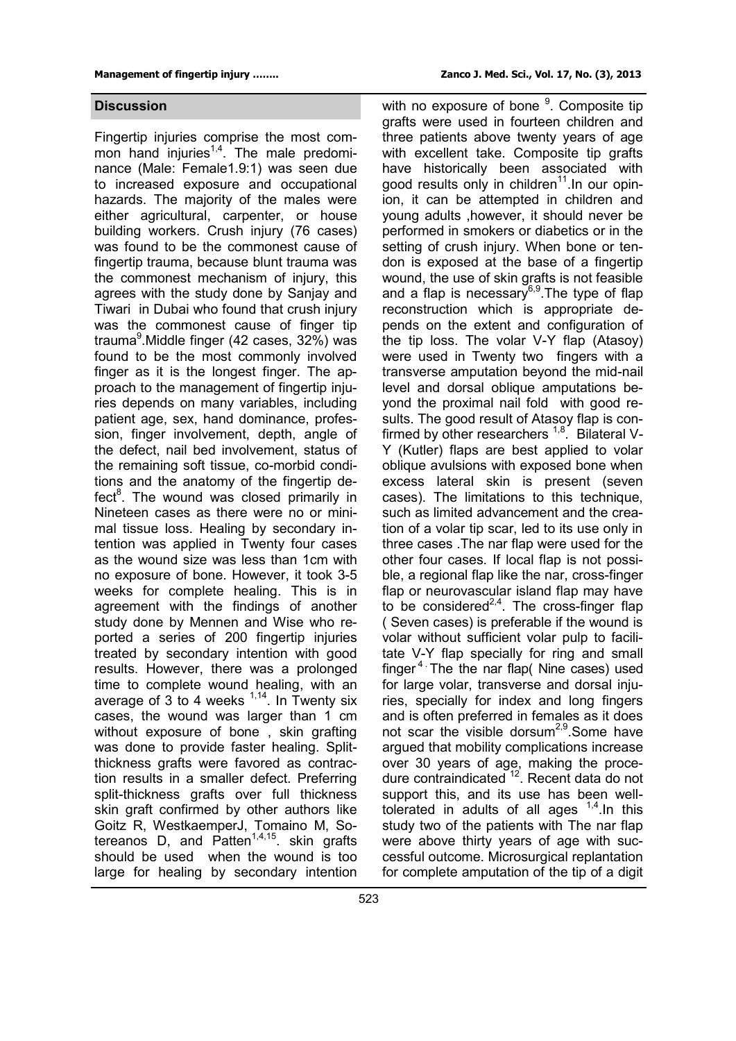Fingertip injuries comprise the most common hand injuries<sup>1,4</sup>. The male predominance (Male: Female1.9:1) was seen due to increased exposure and occupational hazards. The majority of the males were either agricultural, carpenter, or house building workers. Crush injury (76 cases) was found to be the commonest cause of fingertip trauma, because blunt trauma was the commonest mechanism of injury, this agrees with the study done by Sanjay and Tiwari in Dubai who found that crush injury was the commonest cause of finger tip trauma<sup>9</sup>.Middle finger (42 cases, 32%) was found to be the most commonly involved finger as it is the longest finger. The approach to the management of fingertip injuries depends on many variables, including patient age, sex, hand dominance, profession, finger involvement, depth, angle of the defect, nail bed involvement, status of the remaining soft tissue, co-morbid conditions and the anatomy of the fingertip defect<sup>8</sup>. The wound was closed primarily in Nineteen cases as there were no or minimal tissue loss. Healing by secondary intention was applied in Twenty four cases as the wound size was less than 1cm with no exposure of bone. However, it took 3-5 weeks for complete healing. This is in agreement with the findings of another study done by Mennen and Wise who reported a series of 200 fingertip injuries treated by secondary intention with good results. However, there was a prolonged time to complete wound healing, with an average of 3 to 4 weeks  $1,14$ . In Twenty six cases, the wound was larger than 1 cm without exposure of bone , skin grafting was done to provide faster healing. Splitthickness grafts were favored as contraction results in a smaller defect. Preferring split-thickness grafts over full thickness skin graft confirmed by other authors like Goitz R, WestkaemperJ, Tomaino M, Sotereanos D, and Patten<sup>1,4,15</sup>. skin grafts should be used when the wound is too large for healing by secondary intention

**Discussion Discussion With no exposure of bone <sup>9</sup>. Composite tip** grafts were used in fourteen children and three patients above twenty years of age with excellent take. Composite tip grafts have historically been associated with good results only in children<sup>11</sup>. In our opinion, it can be attempted in children and young adults ,however, it should never be performed in smokers or diabetics or in the setting of crush injury. When bone or tendon is exposed at the base of a fingertip wound, the use of skin grafts is not feasible and a flap is necessary<sup>6,9</sup>. The type of flap reconstruction which is appropriate depends on the extent and configuration of the tip loss. The volar V-Y flap (Atasoy) were used in Twenty two fingers with a transverse amputation beyond the mid-nail level and dorsal oblique amputations beyond the proximal nail fold with good results. The good result of Atasoy flap is confirmed by other researchers  $1,8$ . Bilateral V-Y (Kutler) flaps are best applied to volar oblique avulsions with exposed bone when excess lateral skin is present (seven cases). The limitations to this technique, such as limited advancement and the creation of a volar tip scar, led to its use only in three cases .The nar flap were used for the other four cases. If local flap is not possible, a regional flap like the nar, cross-finger flap or neurovascular island flap may have to be considered<sup>2,4</sup>. The cross-finger flap ( Seven cases) is preferable if the wound is volar without sufficient volar pulp to facilitate V-Y flap specially for ring and small finger<sup>4</sup> The the nar flap( Nine cases) used for large volar, transverse and dorsal injuries, specially for index and long fingers and is often preferred in females as it does not scar the visible dorsum<sup>2,9</sup> Some have argued that mobility complications increase over 30 years of age, making the procedure contraindicated <sup>12</sup>. Recent data do not support this, and its use has been welltolerated in adults of all ages  $1,4$ . In this study two of the patients with The nar flap were above thirty years of age with successful outcome. Microsurgical replantation for complete amputation of the tip of a digit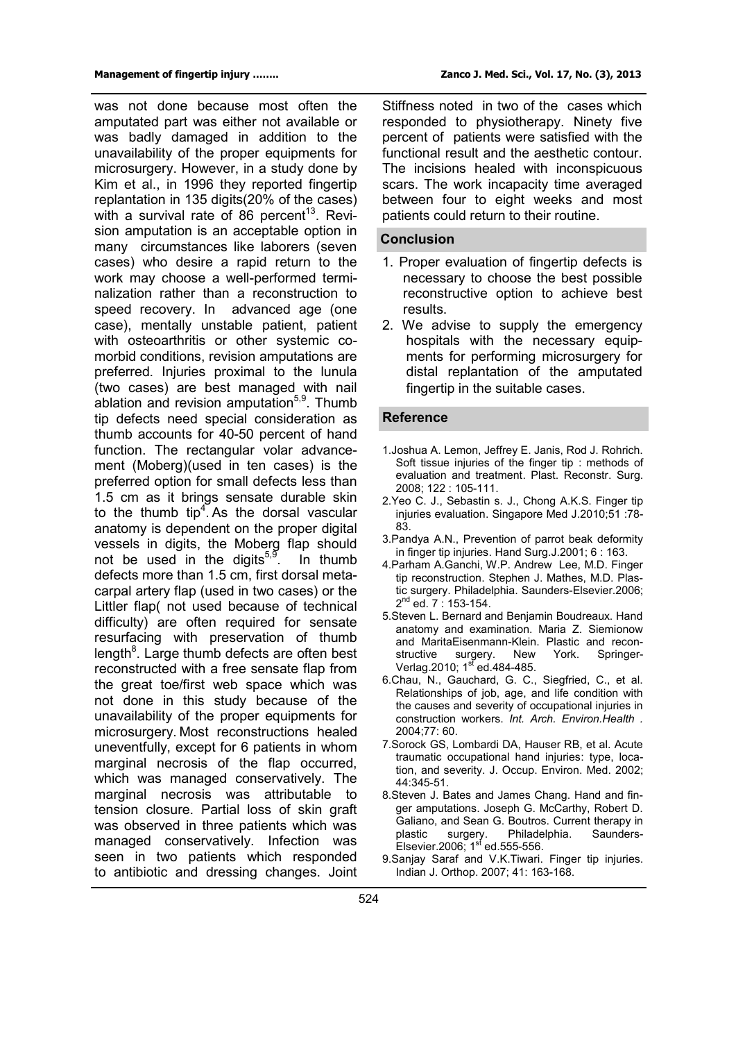was not done because most often the amputated part was either not available or was badly damaged in addition to the unavailability of the proper equipments for microsurgery. However, in a study done by Kim et al., in 1996 they reported fingertip replantation in 135 digits(20% of the cases) with a survival rate of 86 percent<sup>13</sup>. Revision amputation is an acceptable option in many circumstances like laborers (seven cases) who desire a rapid return to the work may choose a well-performed terminalization rather than a reconstruction to speed recovery. In advanced age (one case), mentally unstable patient, patient with osteoarthritis or other systemic comorbid conditions, revision amputations are preferred. Injuries proximal to the lunula (two cases) are best managed with nail ablation and revision amputation<sup>5,9</sup>. Thumb tip defects need special consideration as thumb accounts for 40-50 percent of hand function. The rectangular volar advancement (Moberg)(used in ten cases) is the preferred option for small defects less than 1.5 cm as it brings sensate durable skin to the thumb  $tip^4$ . As the dorsal vascular anatomy is dependent on the proper digital vessels in digits, the Moberg flap should not be used in the digits $5,9$ . . In thumb defects more than 1.5 cm, first dorsal metacarpal artery flap (used in two cases) or the Littler flap( not used because of technical difficulty) are often required for sensate resurfacing with preservation of thumb length<sup>8</sup>. Large thumb defects are often best reconstructed with a free sensate flap from the great toe/first web space which was not done in this study because of the unavailability of the proper equipments for microsurgery. Most reconstructions healed uneventfully, except for 6 patients in whom marginal necrosis of the flap occurred, which was managed conservatively. The marginal necrosis was attributable to tension closure. Partial loss of skin graft was observed in three patients which was managed conservatively. Infection was seen in two patients which responded to antibiotic and dressing changes. Joint

Stiffness noted in two of the cases which responded to physiotherapy. Ninety five percent of patients were satisfied with the functional result and the aesthetic contour. The incisions healed with inconspicuous scars. The work incapacity time averaged between four to eight weeks and most patients could return to their routine.

#### **Conclusion**

- 1. Proper evaluation of fingertip defects is necessary to choose the best possible reconstructive option to achieve best results.
- 2. We advise to supply the emergency hospitals with the necessary equipments for performing microsurgery for distal replantation of the amputated fingertip in the suitable cases.

#### **Reference**

- 1.Joshua A. Lemon, Jeffrey E. Janis, Rod J. Rohrich. Soft tissue injuries of the finger tip : methods of evaluation and treatment. Plast. Reconstr. Surg. 2008; 122 : 105-111.
- 2.Yeo C. J., Sebastin s. J., Chong A.K.S. Finger tip injuries evaluation. Singapore Med J.2010;51 :78- 83.
- 3.Pandya A.N., Prevention of parrot beak deformity in finger tip injuries. Hand Surg.J.2001; 6 : 163.
- 4.Parham A.Ganchi, W.P. Andrew Lee, M.D. Finger tip reconstruction. Stephen J. Mathes, M.D. Plastic surgery. Philadelphia. Saunders-Elsevier.2006; 2<sup>nd</sup> ed. 7 : 153-154.
- 5.Steven L. Bernard and Benjamin Boudreaux. Hand anatomy and examination. Maria Z. Siemionow and MaritaEisenmann-Klein. Plastic and reconstructive surgery. New York. Springer-Verlag.2010; 1<sup>st</sup> ed.484-485.
- 6.Chau, N., Gauchard, G. C., Siegfried, C., et al. Relationships of job, age, and life condition with the causes and severity of occupational injuries in construction workers. *Int. Arch. Environ.Health .* 2004;77: 60.
- 7.Sorock GS, Lombardi DA, Hauser RB, et al. Acute traumatic occupational hand injuries: type, location, and severity. J. Occup. Environ. Med. 2002; 44:345-51.
- 8.Steven J. Bates and James Chang. Hand and finger amputations. Joseph G. McCarthy, Robert D. Galiano, and Sean G. Boutros. Current therapy in<br>plastic surgery. Philadelphia. Saundersplastic surgery. Philadelphia. Saunders-Elsevier.2006;  $1<sup>sf</sup>$  ed.555-556.
- 9.Sanjay Saraf and V.K.Tiwari. Finger tip injuries. Indian J. Orthop. 2007; 41: 163-168.